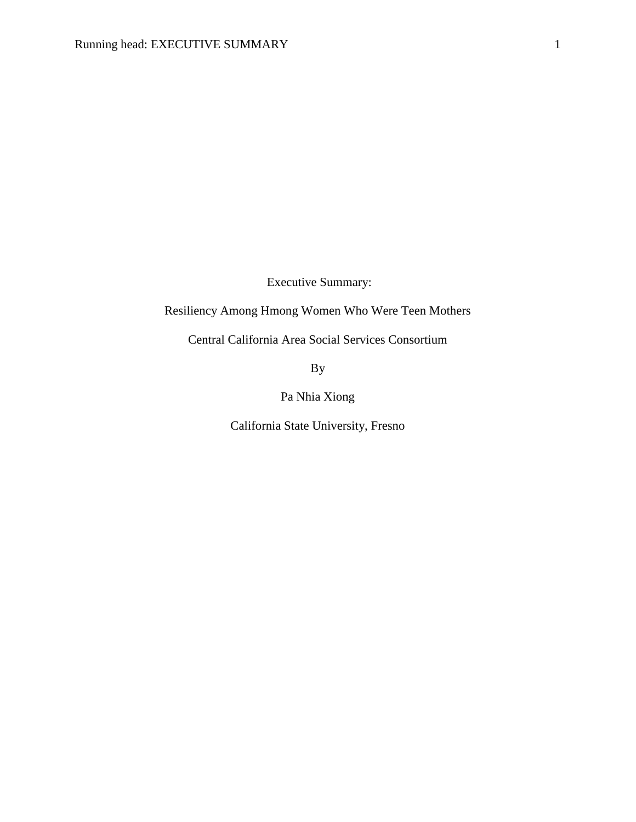Executive Summary:

# Resiliency Among Hmong Women Who Were Teen Mothers

Central California Area Social Services Consortium

By

Pa Nhia Xiong

California State University, Fresno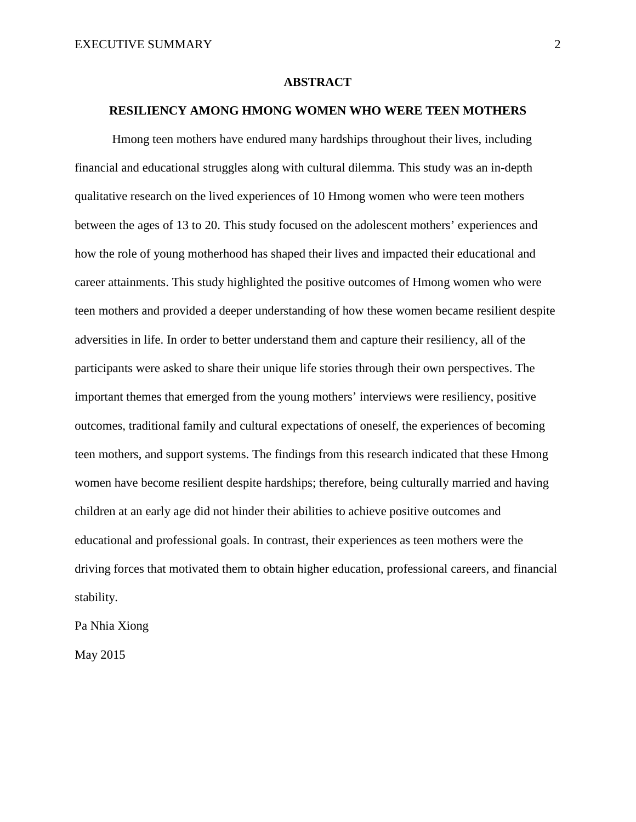#### **ABSTRACT**

# **RESILIENCY AMONG HMONG WOMEN WHO WERE TEEN MOTHERS**

Hmong teen mothers have endured many hardships throughout their lives, including financial and educational struggles along with cultural dilemma. This study was an in-depth qualitative research on the lived experiences of 10 Hmong women who were teen mothers between the ages of 13 to 20. This study focused on the adolescent mothers' experiences and how the role of young motherhood has shaped their lives and impacted their educational and career attainments. This study highlighted the positive outcomes of Hmong women who were teen mothers and provided a deeper understanding of how these women became resilient despite adversities in life. In order to better understand them and capture their resiliency, all of the participants were asked to share their unique life stories through their own perspectives. The important themes that emerged from the young mothers' interviews were resiliency, positive outcomes, traditional family and cultural expectations of oneself, the experiences of becoming teen mothers, and support systems. The findings from this research indicated that these Hmong women have become resilient despite hardships; therefore, being culturally married and having children at an early age did not hinder their abilities to achieve positive outcomes and educational and professional goals. In contrast, their experiences as teen mothers were the driving forces that motivated them to obtain higher education, professional careers, and financial stability.

Pa Nhia Xiong

May 2015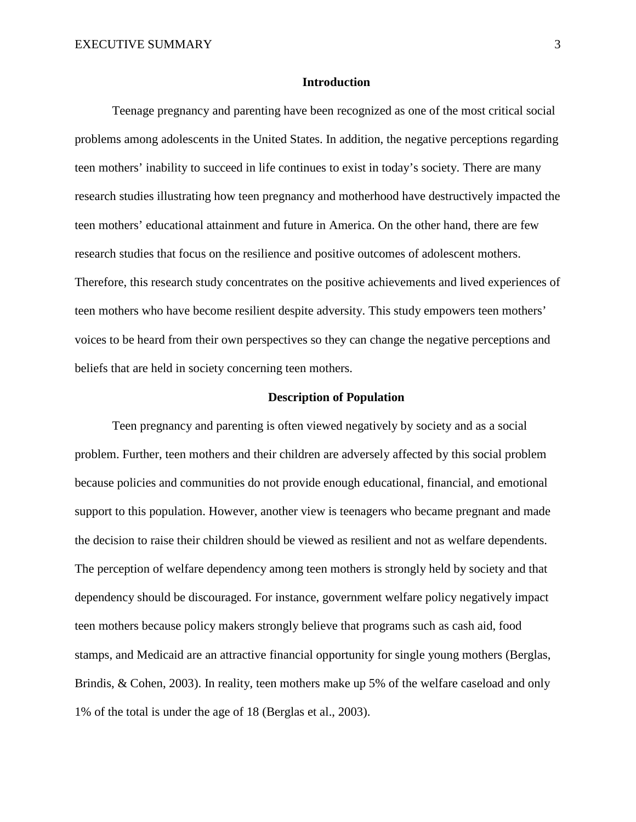#### **Introduction**

Teenage pregnancy and parenting have been recognized as one of the most critical social problems among adolescents in the United States. In addition, the negative perceptions regarding teen mothers' inability to succeed in life continues to exist in today's society. There are many research studies illustrating how teen pregnancy and motherhood have destructively impacted the teen mothers' educational attainment and future in America. On the other hand, there are few research studies that focus on the resilience and positive outcomes of adolescent mothers. Therefore, this research study concentrates on the positive achievements and lived experiences of teen mothers who have become resilient despite adversity. This study empowers teen mothers' voices to be heard from their own perspectives so they can change the negative perceptions and beliefs that are held in society concerning teen mothers.

#### **Description of Population**

Teen pregnancy and parenting is often viewed negatively by society and as a social problem. Further, teen mothers and their children are adversely affected by this social problem because policies and communities do not provide enough educational, financial, and emotional support to this population. However, another view is teenagers who became pregnant and made the decision to raise their children should be viewed as resilient and not as welfare dependents. The perception of welfare dependency among teen mothers is strongly held by society and that dependency should be discouraged. For instance, government welfare policy negatively impact teen mothers because policy makers strongly believe that programs such as cash aid, food stamps, and Medicaid are an attractive financial opportunity for single young mothers (Berglas, Brindis, & Cohen, 2003). In reality, teen mothers make up 5% of the welfare caseload and only 1% of the total is under the age of 18 (Berglas et al., 2003).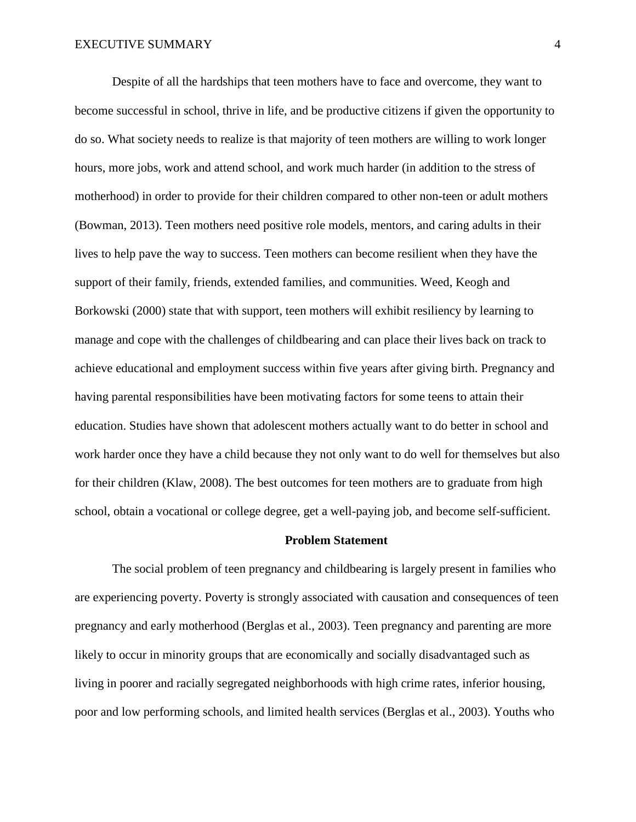Despite of all the hardships that teen mothers have to face and overcome, they want to become successful in school, thrive in life, and be productive citizens if given the opportunity to do so. What society needs to realize is that majority of teen mothers are willing to work longer hours, more jobs, work and attend school, and work much harder (in addition to the stress of motherhood) in order to provide for their children compared to other non-teen or adult mothers (Bowman, 2013). Teen mothers need positive role models, mentors, and caring adults in their lives to help pave the way to success. Teen mothers can become resilient when they have the support of their family, friends, extended families, and communities. Weed, Keogh and Borkowski (2000) state that with support, teen mothers will exhibit resiliency by learning to manage and cope with the challenges of childbearing and can place their lives back on track to achieve educational and employment success within five years after giving birth. Pregnancy and having parental responsibilities have been motivating factors for some teens to attain their education. Studies have shown that adolescent mothers actually want to do better in school and work harder once they have a child because they not only want to do well for themselves but also for their children (Klaw, 2008). The best outcomes for teen mothers are to graduate from high school, obtain a vocational or college degree, get a well-paying job, and become self-sufficient.

#### **Problem Statement**

The social problem of teen pregnancy and childbearing is largely present in families who are experiencing poverty. Poverty is strongly associated with causation and consequences of teen pregnancy and early motherhood (Berglas et al., 2003). Teen pregnancy and parenting are more likely to occur in minority groups that are economically and socially disadvantaged such as living in poorer and racially segregated neighborhoods with high crime rates, inferior housing, poor and low performing schools, and limited health services (Berglas et al., 2003). Youths who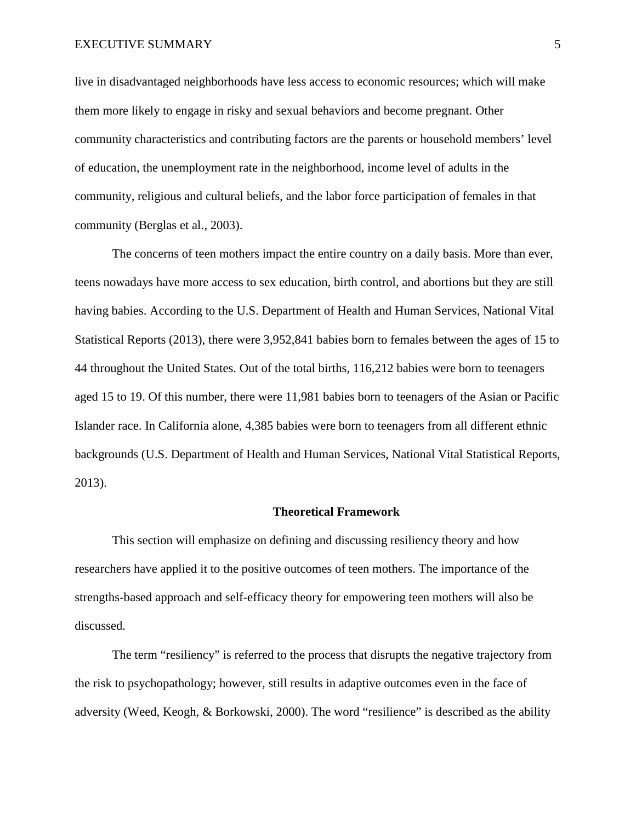live in disadvantaged neighborhoods have less access to economic resources; which will make them more likely to engage in risky and sexual behaviors and become pregnant. Other community characteristics and contributing factors are the parents or household members' level of education, the unemployment rate in the neighborhood, income level of adults in the community, religious and cultural beliefs, and the labor force participation of females in that community (Berglas et al., 2003).

The concerns of teen mothers impact the entire country on a daily basis. More than ever, teens nowadays have more access to sex education, birth control, and abortions but they are still having babies. According to the U.S. Department of Health and Human Services, National Vital Statistical Reports (2013), there were 3,952,841 babies born to females between the ages of 15 to 44 throughout the United States. Out of the total births, 116,212 babies were born to teenagers aged 15 to 19. Of this number, there were 11,981 babies born to teenagers of the Asian or Pacific Islander race. In California alone, 4,385 babies were born to teenagers from all different ethnic backgrounds (U.S. Department of Health and Human Services, National Vital Statistical Reports, 2013).

#### **Theoretical Framework**

This section will emphasize on defining and discussing resiliency theory and how researchers have applied it to the positive outcomes of teen mothers. The importance of the strengths-based approach and self-efficacy theory for empowering teen mothers will also be discussed.

The term "resiliency" is referred to the process that disrupts the negative trajectory from the risk to psychopathology; however, still results in adaptive outcomes even in the face of adversity (Weed, Keogh, & Borkowski, 2000). The word "resilience" is described as the ability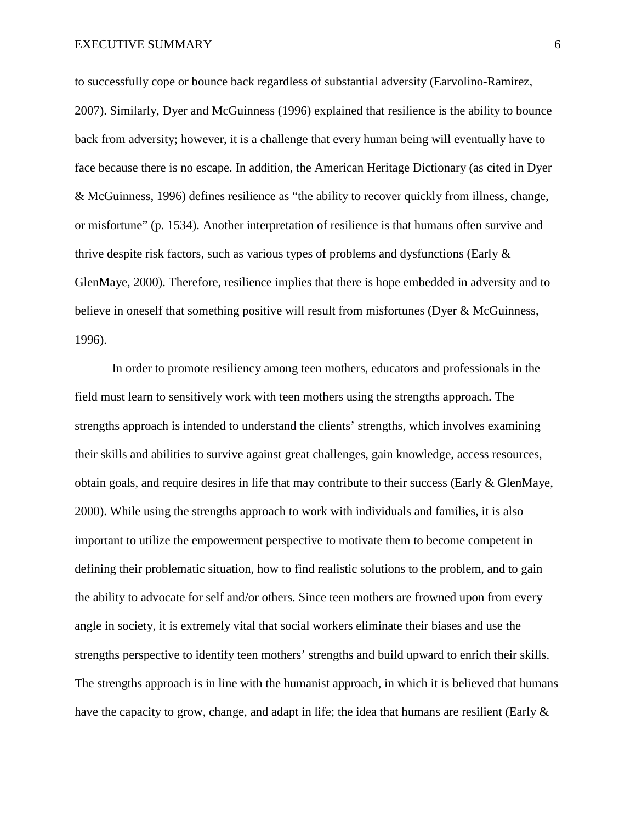to successfully cope or bounce back regardless of substantial adversity (Earvolino-Ramirez, 2007). Similarly, Dyer and McGuinness (1996) explained that resilience is the ability to bounce back from adversity; however, it is a challenge that every human being will eventually have to face because there is no escape. In addition, the American Heritage Dictionary (as cited in Dyer & McGuinness, 1996) defines resilience as "the ability to recover quickly from illness, change, or misfortune" (p. 1534). Another interpretation of resilience is that humans often survive and thrive despite risk factors, such as various types of problems and dysfunctions (Early & GlenMaye, 2000). Therefore, resilience implies that there is hope embedded in adversity and to believe in oneself that something positive will result from misfortunes (Dyer & McGuinness, 1996).

In order to promote resiliency among teen mothers, educators and professionals in the field must learn to sensitively work with teen mothers using the strengths approach. The strengths approach is intended to understand the clients' strengths, which involves examining their skills and abilities to survive against great challenges, gain knowledge, access resources, obtain goals, and require desires in life that may contribute to their success (Early  $\&$  GlenMaye, 2000). While using the strengths approach to work with individuals and families, it is also important to utilize the empowerment perspective to motivate them to become competent in defining their problematic situation, how to find realistic solutions to the problem, and to gain the ability to advocate for self and/or others. Since teen mothers are frowned upon from every angle in society, it is extremely vital that social workers eliminate their biases and use the strengths perspective to identify teen mothers' strengths and build upward to enrich their skills. The strengths approach is in line with the humanist approach, in which it is believed that humans have the capacity to grow, change, and adapt in life; the idea that humans are resilient (Early  $\&$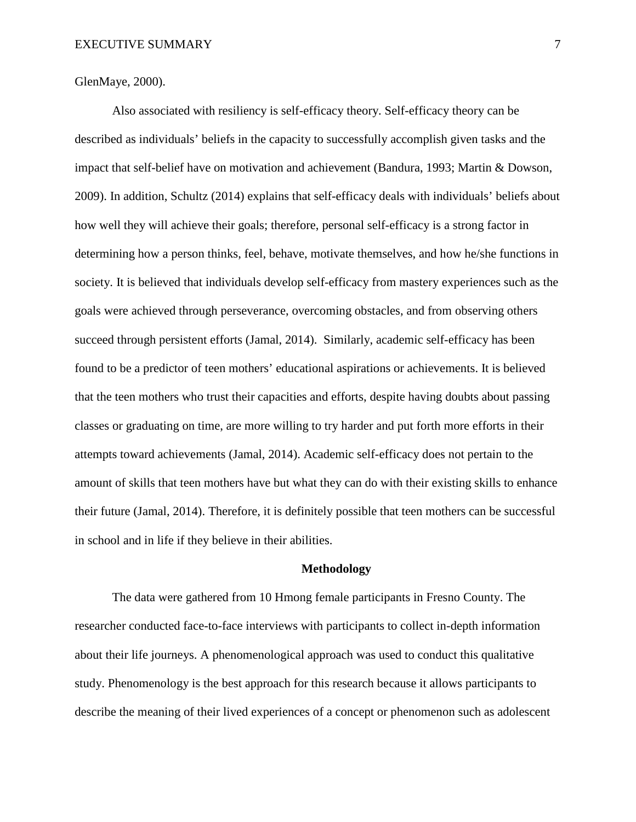GlenMaye, 2000).

Also associated with resiliency is self-efficacy theory. Self-efficacy theory can be described as individuals' beliefs in the capacity to successfully accomplish given tasks and the impact that self-belief have on motivation and achievement (Bandura, 1993; Martin & Dowson, 2009). In addition, Schultz (2014) explains that self-efficacy deals with individuals' beliefs about how well they will achieve their goals; therefore, personal self-efficacy is a strong factor in determining how a person thinks, feel, behave, motivate themselves, and how he/she functions in society. It is believed that individuals develop self-efficacy from mastery experiences such as the goals were achieved through perseverance, overcoming obstacles, and from observing others succeed through persistent efforts (Jamal, 2014). Similarly, academic self-efficacy has been found to be a predictor of teen mothers' educational aspirations or achievements. It is believed that the teen mothers who trust their capacities and efforts, despite having doubts about passing classes or graduating on time, are more willing to try harder and put forth more efforts in their attempts toward achievements (Jamal, 2014). Academic self-efficacy does not pertain to the amount of skills that teen mothers have but what they can do with their existing skills to enhance their future (Jamal, 2014). Therefore, it is definitely possible that teen mothers can be successful in school and in life if they believe in their abilities.

## **Methodology**

The data were gathered from 10 Hmong female participants in Fresno County. The researcher conducted face-to-face interviews with participants to collect in-depth information about their life journeys. A phenomenological approach was used to conduct this qualitative study. Phenomenology is the best approach for this research because it allows participants to describe the meaning of their lived experiences of a concept or phenomenon such as adolescent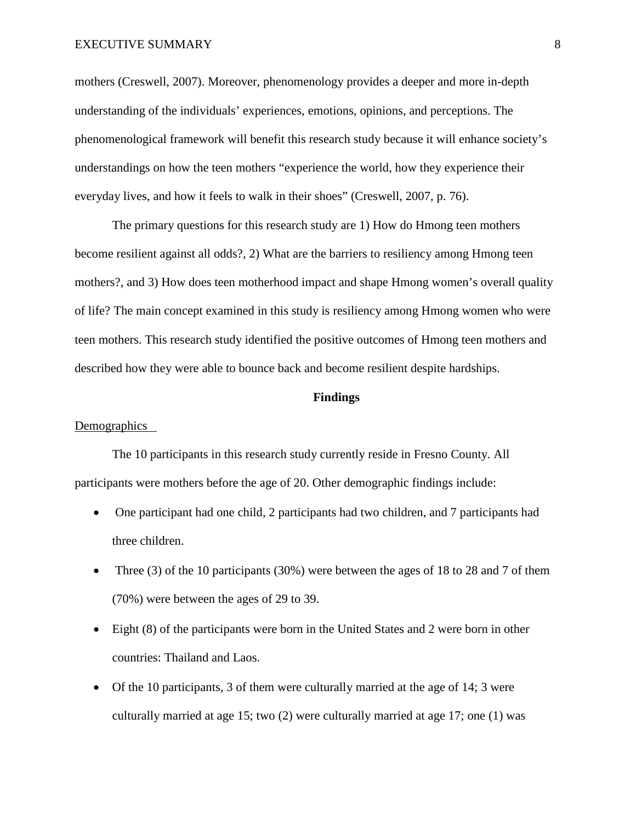mothers (Creswell, 2007). Moreover, phenomenology provides a deeper and more in-depth understanding of the individuals' experiences, emotions, opinions, and perceptions. The phenomenological framework will benefit this research study because it will enhance society's understandings on how the teen mothers "experience the world, how they experience their everyday lives, and how it feels to walk in their shoes" (Creswell, 2007, p. 76).

The primary questions for this research study are 1) How do Hmong teen mothers become resilient against all odds?, 2) What are the barriers to resiliency among Hmong teen mothers?, and 3) How does teen motherhood impact and shape Hmong women's overall quality of life? The main concept examined in this study is resiliency among Hmong women who were teen mothers. This research study identified the positive outcomes of Hmong teen mothers and described how they were able to bounce back and become resilient despite hardships.

## **Findings**

### Demographics

The 10 participants in this research study currently reside in Fresno County. All participants were mothers before the age of 20. Other demographic findings include:

- One participant had one child, 2 participants had two children, and 7 participants had three children.
- Three (3) of the 10 participants (30%) were between the ages of 18 to 28 and 7 of them (70%) were between the ages of 29 to 39.
- Eight (8) of the participants were born in the United States and 2 were born in other countries: Thailand and Laos.
- Of the 10 participants, 3 of them were culturally married at the age of 14; 3 were culturally married at age 15; two (2) were culturally married at age 17; one (1) was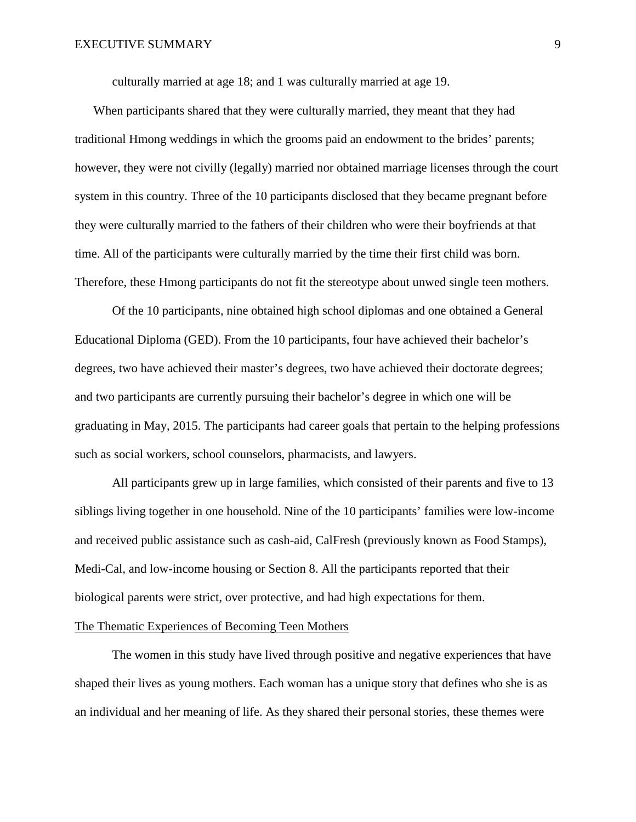culturally married at age 18; and 1 was culturally married at age 19.

When participants shared that they were culturally married, they meant that they had traditional Hmong weddings in which the grooms paid an endowment to the brides' parents; however, they were not civilly (legally) married nor obtained marriage licenses through the court system in this country. Three of the 10 participants disclosed that they became pregnant before they were culturally married to the fathers of their children who were their boyfriends at that time. All of the participants were culturally married by the time their first child was born. Therefore, these Hmong participants do not fit the stereotype about unwed single teen mothers.

Of the 10 participants, nine obtained high school diplomas and one obtained a General Educational Diploma (GED). From the 10 participants, four have achieved their bachelor's degrees, two have achieved their master's degrees, two have achieved their doctorate degrees; and two participants are currently pursuing their bachelor's degree in which one will be graduating in May, 2015. The participants had career goals that pertain to the helping professions such as social workers, school counselors, pharmacists, and lawyers.

All participants grew up in large families, which consisted of their parents and five to 13 siblings living together in one household. Nine of the 10 participants' families were low-income and received public assistance such as cash-aid, CalFresh (previously known as Food Stamps), Medi-Cal, and low-income housing or Section 8. All the participants reported that their biological parents were strict, over protective, and had high expectations for them.

# The Thematic Experiences of Becoming Teen Mothers

The women in this study have lived through positive and negative experiences that have shaped their lives as young mothers. Each woman has a unique story that defines who she is as an individual and her meaning of life. As they shared their personal stories, these themes were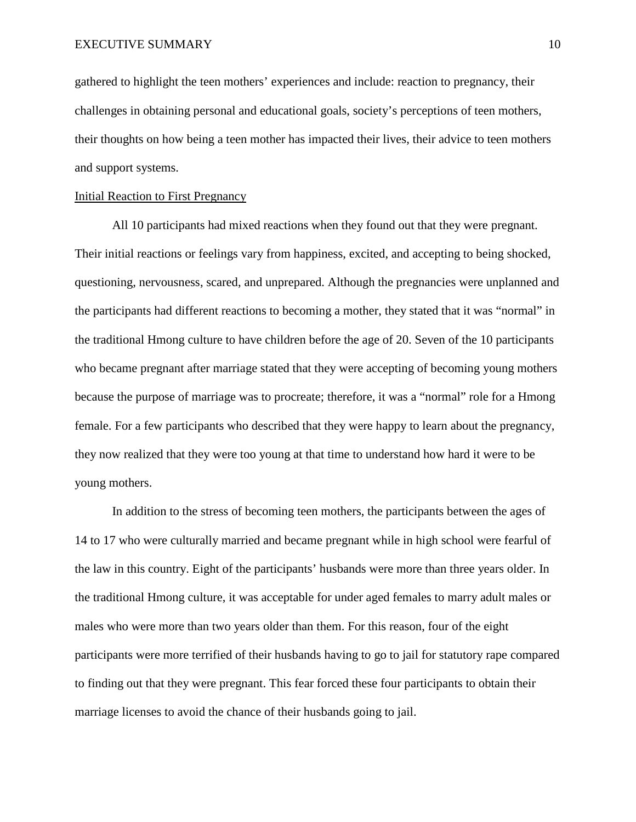gathered to highlight the teen mothers' experiences and include: reaction to pregnancy, their challenges in obtaining personal and educational goals, society's perceptions of teen mothers, their thoughts on how being a teen mother has impacted their lives, their advice to teen mothers and support systems.

## Initial Reaction to First Pregnancy

All 10 participants had mixed reactions when they found out that they were pregnant. Their initial reactions or feelings vary from happiness, excited, and accepting to being shocked, questioning, nervousness, scared, and unprepared. Although the pregnancies were unplanned and the participants had different reactions to becoming a mother, they stated that it was "normal" in the traditional Hmong culture to have children before the age of 20. Seven of the 10 participants who became pregnant after marriage stated that they were accepting of becoming young mothers because the purpose of marriage was to procreate; therefore, it was a "normal" role for a Hmong female. For a few participants who described that they were happy to learn about the pregnancy, they now realized that they were too young at that time to understand how hard it were to be young mothers.

In addition to the stress of becoming teen mothers, the participants between the ages of 14 to 17 who were culturally married and became pregnant while in high school were fearful of the law in this country. Eight of the participants' husbands were more than three years older. In the traditional Hmong culture, it was acceptable for under aged females to marry adult males or males who were more than two years older than them. For this reason, four of the eight participants were more terrified of their husbands having to go to jail for statutory rape compared to finding out that they were pregnant. This fear forced these four participants to obtain their marriage licenses to avoid the chance of their husbands going to jail.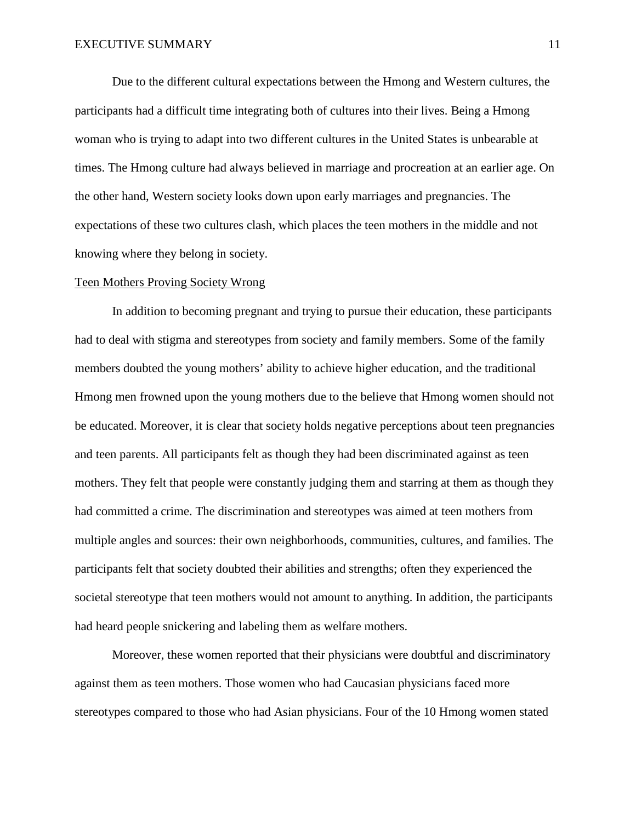Due to the different cultural expectations between the Hmong and Western cultures, the participants had a difficult time integrating both of cultures into their lives. Being a Hmong woman who is trying to adapt into two different cultures in the United States is unbearable at times. The Hmong culture had always believed in marriage and procreation at an earlier age. On the other hand, Western society looks down upon early marriages and pregnancies. The expectations of these two cultures clash, which places the teen mothers in the middle and not knowing where they belong in society.

#### Teen Mothers Proving Society Wrong

In addition to becoming pregnant and trying to pursue their education, these participants had to deal with stigma and stereotypes from society and family members. Some of the family members doubted the young mothers' ability to achieve higher education, and the traditional Hmong men frowned upon the young mothers due to the believe that Hmong women should not be educated. Moreover, it is clear that society holds negative perceptions about teen pregnancies and teen parents. All participants felt as though they had been discriminated against as teen mothers. They felt that people were constantly judging them and starring at them as though they had committed a crime. The discrimination and stereotypes was aimed at teen mothers from multiple angles and sources: their own neighborhoods, communities, cultures, and families. The participants felt that society doubted their abilities and strengths; often they experienced the societal stereotype that teen mothers would not amount to anything. In addition, the participants had heard people snickering and labeling them as welfare mothers.

Moreover, these women reported that their physicians were doubtful and discriminatory against them as teen mothers. Those women who had Caucasian physicians faced more stereotypes compared to those who had Asian physicians. Four of the 10 Hmong women stated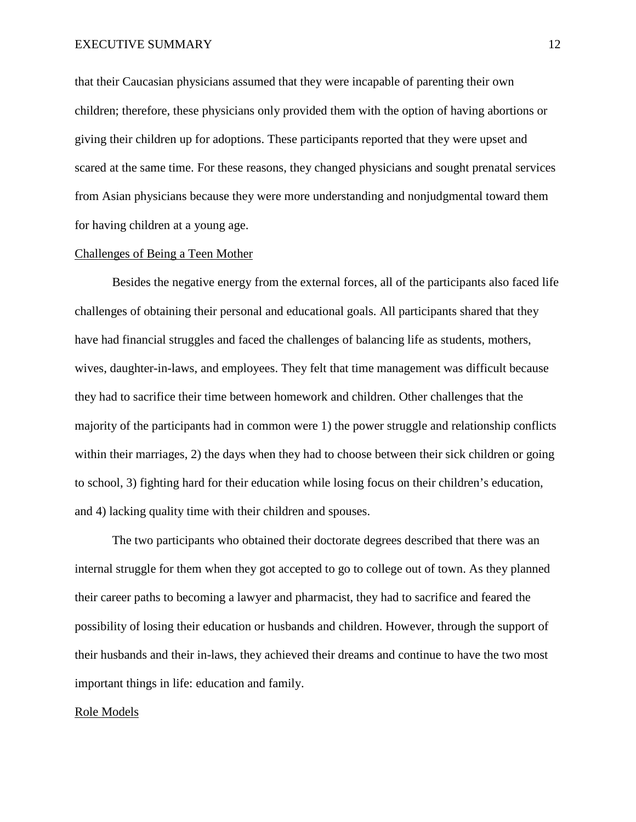that their Caucasian physicians assumed that they were incapable of parenting their own children; therefore, these physicians only provided them with the option of having abortions or giving their children up for adoptions. These participants reported that they were upset and scared at the same time. For these reasons, they changed physicians and sought prenatal services from Asian physicians because they were more understanding and nonjudgmental toward them for having children at a young age.

## Challenges of Being a Teen Mother

Besides the negative energy from the external forces, all of the participants also faced life challenges of obtaining their personal and educational goals. All participants shared that they have had financial struggles and faced the challenges of balancing life as students, mothers, wives, daughter-in-laws, and employees. They felt that time management was difficult because they had to sacrifice their time between homework and children. Other challenges that the majority of the participants had in common were 1) the power struggle and relationship conflicts within their marriages, 2) the days when they had to choose between their sick children or going to school, 3) fighting hard for their education while losing focus on their children's education, and 4) lacking quality time with their children and spouses.

The two participants who obtained their doctorate degrees described that there was an internal struggle for them when they got accepted to go to college out of town. As they planned their career paths to becoming a lawyer and pharmacist, they had to sacrifice and feared the possibility of losing their education or husbands and children. However, through the support of their husbands and their in-laws, they achieved their dreams and continue to have the two most important things in life: education and family.

#### Role Models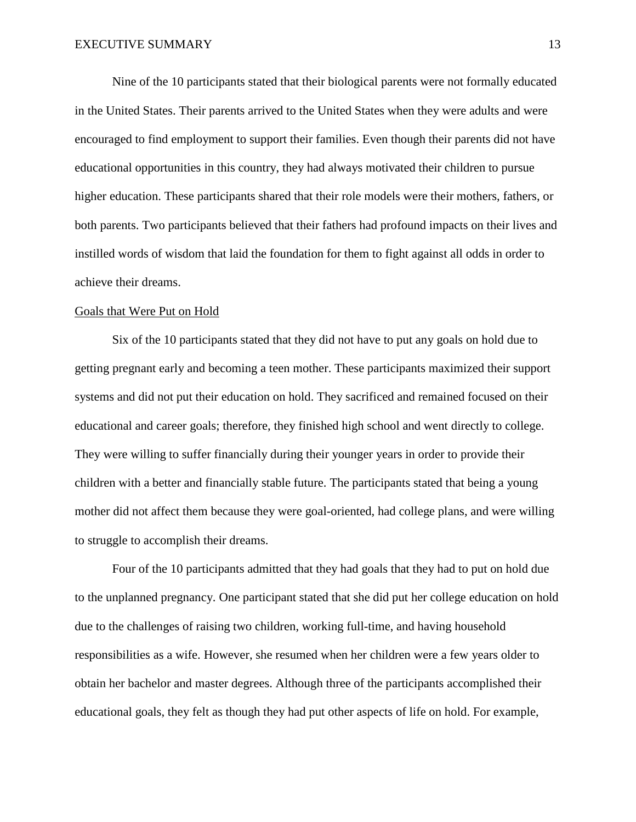Nine of the 10 participants stated that their biological parents were not formally educated in the United States. Their parents arrived to the United States when they were adults and were encouraged to find employment to support their families. Even though their parents did not have educational opportunities in this country, they had always motivated their children to pursue higher education. These participants shared that their role models were their mothers, fathers, or both parents. Two participants believed that their fathers had profound impacts on their lives and instilled words of wisdom that laid the foundation for them to fight against all odds in order to achieve their dreams.

#### Goals that Were Put on Hold

Six of the 10 participants stated that they did not have to put any goals on hold due to getting pregnant early and becoming a teen mother. These participants maximized their support systems and did not put their education on hold. They sacrificed and remained focused on their educational and career goals; therefore, they finished high school and went directly to college. They were willing to suffer financially during their younger years in order to provide their children with a better and financially stable future. The participants stated that being a young mother did not affect them because they were goal-oriented, had college plans, and were willing to struggle to accomplish their dreams.

Four of the 10 participants admitted that they had goals that they had to put on hold due to the unplanned pregnancy. One participant stated that she did put her college education on hold due to the challenges of raising two children, working full-time, and having household responsibilities as a wife. However, she resumed when her children were a few years older to obtain her bachelor and master degrees. Although three of the participants accomplished their educational goals, they felt as though they had put other aspects of life on hold. For example,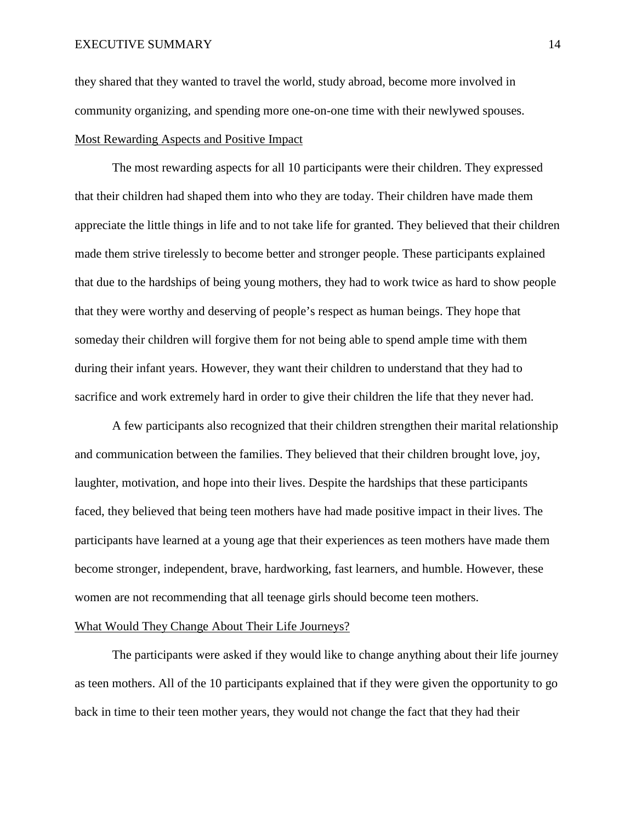they shared that they wanted to travel the world, study abroad, become more involved in community organizing, and spending more one-on-one time with their newlywed spouses. Most Rewarding Aspects and Positive Impact

The most rewarding aspects for all 10 participants were their children. They expressed that their children had shaped them into who they are today. Their children have made them appreciate the little things in life and to not take life for granted. They believed that their children made them strive tirelessly to become better and stronger people. These participants explained that due to the hardships of being young mothers, they had to work twice as hard to show people that they were worthy and deserving of people's respect as human beings. They hope that someday their children will forgive them for not being able to spend ample time with them during their infant years. However, they want their children to understand that they had to sacrifice and work extremely hard in order to give their children the life that they never had.

A few participants also recognized that their children strengthen their marital relationship and communication between the families. They believed that their children brought love, joy, laughter, motivation, and hope into their lives. Despite the hardships that these participants faced, they believed that being teen mothers have had made positive impact in their lives. The participants have learned at a young age that their experiences as teen mothers have made them become stronger, independent, brave, hardworking, fast learners, and humble. However, these women are not recommending that all teenage girls should become teen mothers.

## What Would They Change About Their Life Journeys?

The participants were asked if they would like to change anything about their life journey as teen mothers. All of the 10 participants explained that if they were given the opportunity to go back in time to their teen mother years, they would not change the fact that they had their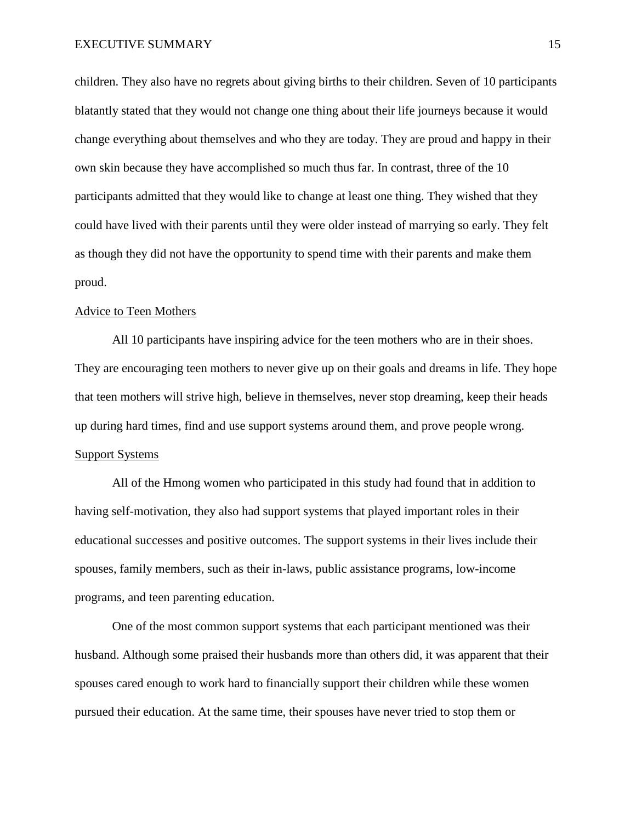children. They also have no regrets about giving births to their children. Seven of 10 participants blatantly stated that they would not change one thing about their life journeys because it would change everything about themselves and who they are today. They are proud and happy in their own skin because they have accomplished so much thus far. In contrast, three of the 10 participants admitted that they would like to change at least one thing. They wished that they could have lived with their parents until they were older instead of marrying so early. They felt as though they did not have the opportunity to spend time with their parents and make them proud.

#### Advice to Teen Mothers

All 10 participants have inspiring advice for the teen mothers who are in their shoes. They are encouraging teen mothers to never give up on their goals and dreams in life. They hope that teen mothers will strive high, believe in themselves, never stop dreaming, keep their heads up during hard times, find and use support systems around them, and prove people wrong. Support Systems

All of the Hmong women who participated in this study had found that in addition to having self-motivation, they also had support systems that played important roles in their educational successes and positive outcomes. The support systems in their lives include their spouses, family members, such as their in-laws, public assistance programs, low-income programs, and teen parenting education.

One of the most common support systems that each participant mentioned was their husband. Although some praised their husbands more than others did, it was apparent that their spouses cared enough to work hard to financially support their children while these women pursued their education. At the same time, their spouses have never tried to stop them or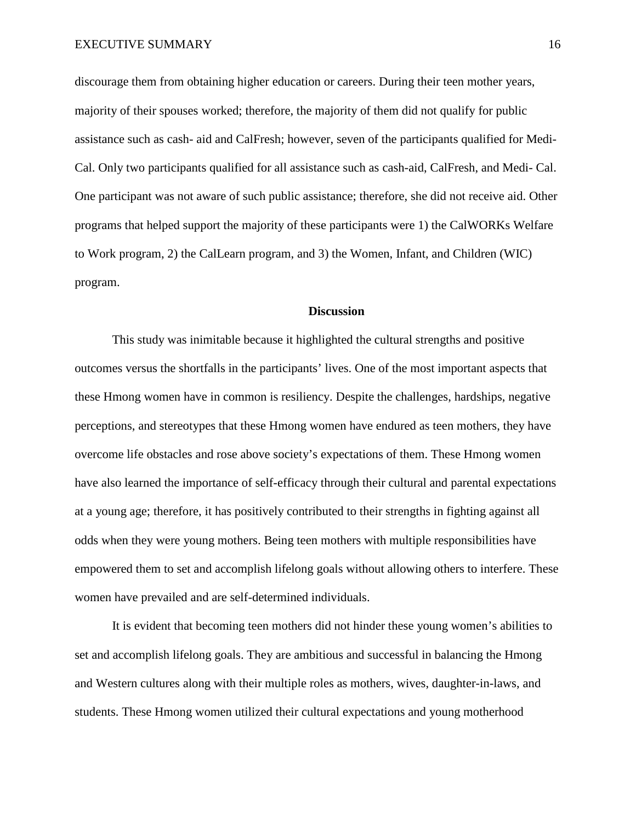discourage them from obtaining higher education or careers. During their teen mother years, majority of their spouses worked; therefore, the majority of them did not qualify for public assistance such as cash- aid and CalFresh; however, seven of the participants qualified for Medi-Cal. Only two participants qualified for all assistance such as cash-aid, CalFresh, and Medi- Cal. One participant was not aware of such public assistance; therefore, she did not receive aid. Other programs that helped support the majority of these participants were 1) the CalWORKs Welfare to Work program, 2) the CalLearn program, and 3) the Women, Infant, and Children (WIC) program.

# **Discussion**

This study was inimitable because it highlighted the cultural strengths and positive outcomes versus the shortfalls in the participants' lives. One of the most important aspects that these Hmong women have in common is resiliency. Despite the challenges, hardships, negative perceptions, and stereotypes that these Hmong women have endured as teen mothers, they have overcome life obstacles and rose above society's expectations of them. These Hmong women have also learned the importance of self-efficacy through their cultural and parental expectations at a young age; therefore, it has positively contributed to their strengths in fighting against all odds when they were young mothers. Being teen mothers with multiple responsibilities have empowered them to set and accomplish lifelong goals without allowing others to interfere. These women have prevailed and are self-determined individuals.

It is evident that becoming teen mothers did not hinder these young women's abilities to set and accomplish lifelong goals. They are ambitious and successful in balancing the Hmong and Western cultures along with their multiple roles as mothers, wives, daughter-in-laws, and students. These Hmong women utilized their cultural expectations and young motherhood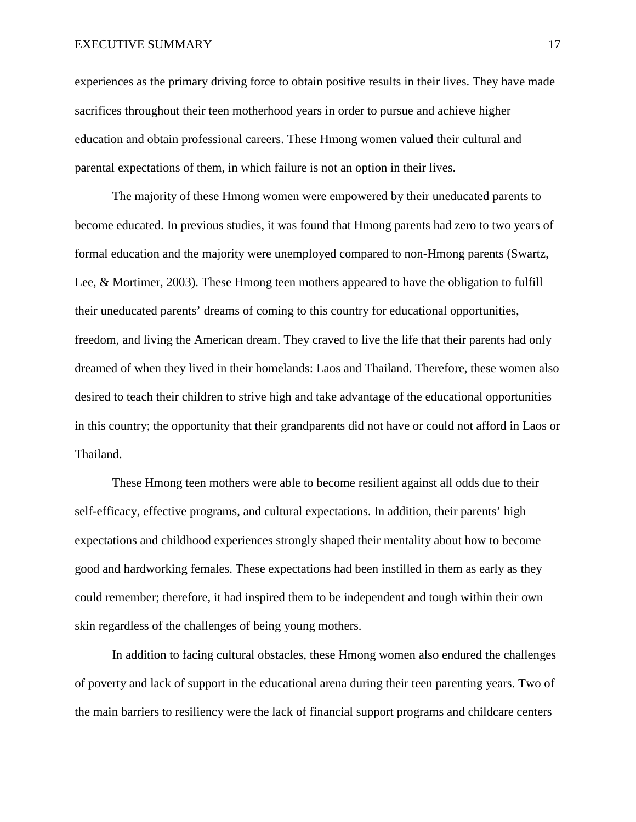experiences as the primary driving force to obtain positive results in their lives. They have made sacrifices throughout their teen motherhood years in order to pursue and achieve higher education and obtain professional careers. These Hmong women valued their cultural and parental expectations of them, in which failure is not an option in their lives.

The majority of these Hmong women were empowered by their uneducated parents to become educated. In previous studies, it was found that Hmong parents had zero to two years of formal education and the majority were unemployed compared to non-Hmong parents (Swartz, Lee, & Mortimer, 2003). These Hmong teen mothers appeared to have the obligation to fulfill their uneducated parents' dreams of coming to this country for educational opportunities, freedom, and living the American dream. They craved to live the life that their parents had only dreamed of when they lived in their homelands: Laos and Thailand. Therefore, these women also desired to teach their children to strive high and take advantage of the educational opportunities in this country; the opportunity that their grandparents did not have or could not afford in Laos or Thailand.

These Hmong teen mothers were able to become resilient against all odds due to their self-efficacy, effective programs, and cultural expectations. In addition, their parents' high expectations and childhood experiences strongly shaped their mentality about how to become good and hardworking females. These expectations had been instilled in them as early as they could remember; therefore, it had inspired them to be independent and tough within their own skin regardless of the challenges of being young mothers.

In addition to facing cultural obstacles, these Hmong women also endured the challenges of poverty and lack of support in the educational arena during their teen parenting years. Two of the main barriers to resiliency were the lack of financial support programs and childcare centers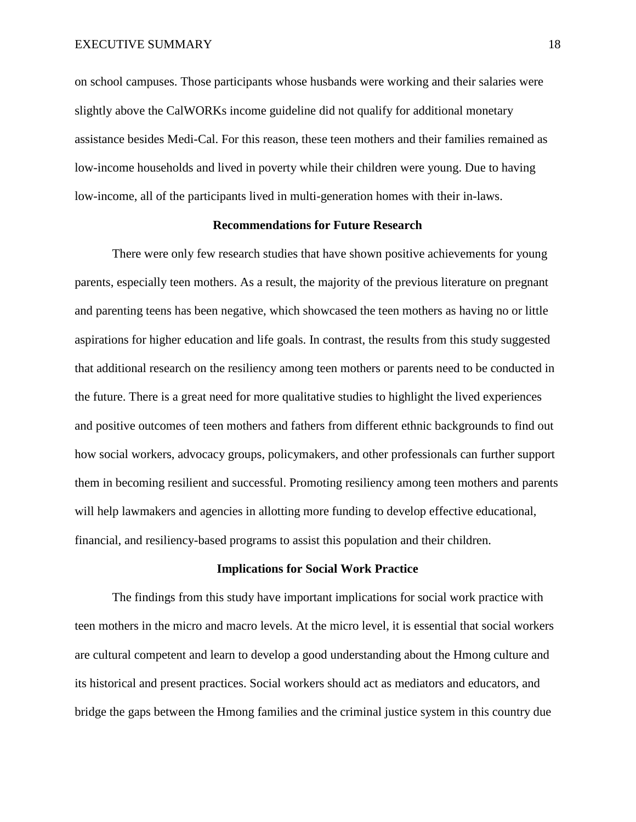on school campuses. Those participants whose husbands were working and their salaries were slightly above the CalWORKs income guideline did not qualify for additional monetary assistance besides Medi-Cal. For this reason, these teen mothers and their families remained as low-income households and lived in poverty while their children were young. Due to having low-income, all of the participants lived in multi-generation homes with their in-laws.

### **Recommendations for Future Research**

There were only few research studies that have shown positive achievements for young parents, especially teen mothers. As a result, the majority of the previous literature on pregnant and parenting teens has been negative, which showcased the teen mothers as having no or little aspirations for higher education and life goals. In contrast, the results from this study suggested that additional research on the resiliency among teen mothers or parents need to be conducted in the future. There is a great need for more qualitative studies to highlight the lived experiences and positive outcomes of teen mothers and fathers from different ethnic backgrounds to find out how social workers, advocacy groups, policymakers, and other professionals can further support them in becoming resilient and successful. Promoting resiliency among teen mothers and parents will help lawmakers and agencies in allotting more funding to develop effective educational, financial, and resiliency-based programs to assist this population and their children.

## **Implications for Social Work Practice**

The findings from this study have important implications for social work practice with teen mothers in the micro and macro levels. At the micro level, it is essential that social workers are cultural competent and learn to develop a good understanding about the Hmong culture and its historical and present practices. Social workers should act as mediators and educators, and bridge the gaps between the Hmong families and the criminal justice system in this country due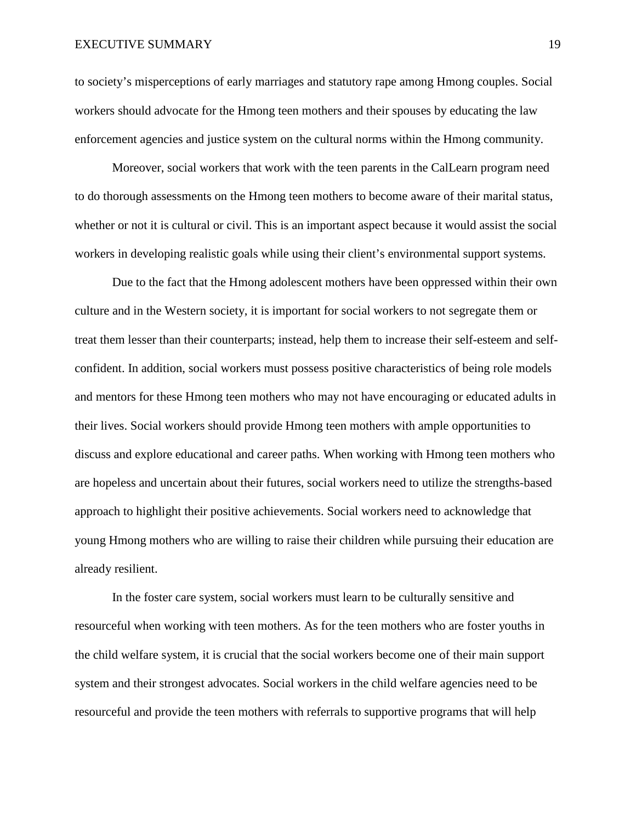to society's misperceptions of early marriages and statutory rape among Hmong couples. Social workers should advocate for the Hmong teen mothers and their spouses by educating the law enforcement agencies and justice system on the cultural norms within the Hmong community.

Moreover, social workers that work with the teen parents in the CalLearn program need to do thorough assessments on the Hmong teen mothers to become aware of their marital status, whether or not it is cultural or civil. This is an important aspect because it would assist the social workers in developing realistic goals while using their client's environmental support systems.

Due to the fact that the Hmong adolescent mothers have been oppressed within their own culture and in the Western society, it is important for social workers to not segregate them or treat them lesser than their counterparts; instead, help them to increase their self-esteem and selfconfident. In addition, social workers must possess positive characteristics of being role models and mentors for these Hmong teen mothers who may not have encouraging or educated adults in their lives. Social workers should provide Hmong teen mothers with ample opportunities to discuss and explore educational and career paths. When working with Hmong teen mothers who are hopeless and uncertain about their futures, social workers need to utilize the strengths-based approach to highlight their positive achievements. Social workers need to acknowledge that young Hmong mothers who are willing to raise their children while pursuing their education are already resilient.

In the foster care system, social workers must learn to be culturally sensitive and resourceful when working with teen mothers. As for the teen mothers who are foster youths in the child welfare system, it is crucial that the social workers become one of their main support system and their strongest advocates. Social workers in the child welfare agencies need to be resourceful and provide the teen mothers with referrals to supportive programs that will help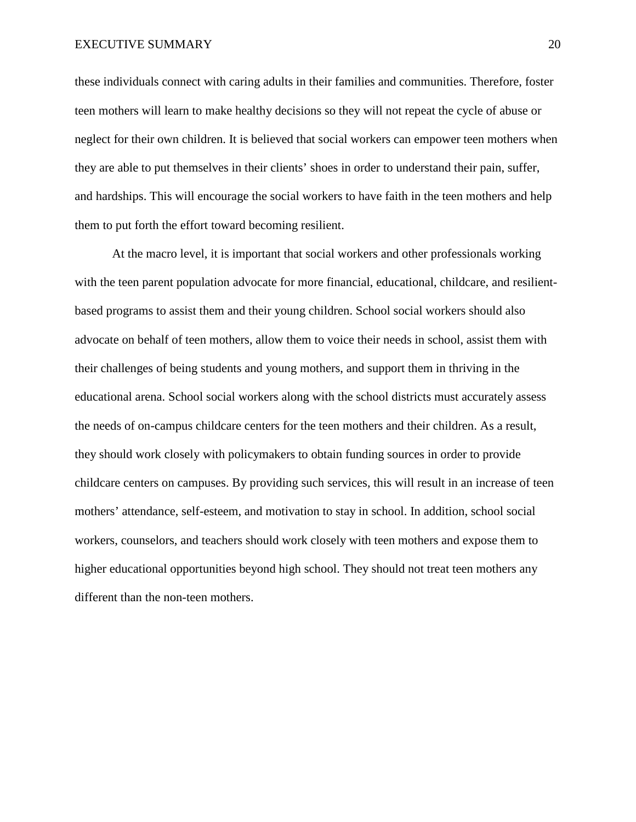these individuals connect with caring adults in their families and communities. Therefore, foster teen mothers will learn to make healthy decisions so they will not repeat the cycle of abuse or neglect for their own children. It is believed that social workers can empower teen mothers when they are able to put themselves in their clients' shoes in order to understand their pain, suffer, and hardships. This will encourage the social workers to have faith in the teen mothers and help them to put forth the effort toward becoming resilient.

At the macro level, it is important that social workers and other professionals working with the teen parent population advocate for more financial, educational, childcare, and resilientbased programs to assist them and their young children. School social workers should also advocate on behalf of teen mothers, allow them to voice their needs in school, assist them with their challenges of being students and young mothers, and support them in thriving in the educational arena. School social workers along with the school districts must accurately assess the needs of on-campus childcare centers for the teen mothers and their children. As a result, they should work closely with policymakers to obtain funding sources in order to provide childcare centers on campuses. By providing such services, this will result in an increase of teen mothers' attendance, self-esteem, and motivation to stay in school. In addition, school social workers, counselors, and teachers should work closely with teen mothers and expose them to higher educational opportunities beyond high school. They should not treat teen mothers any different than the non-teen mothers.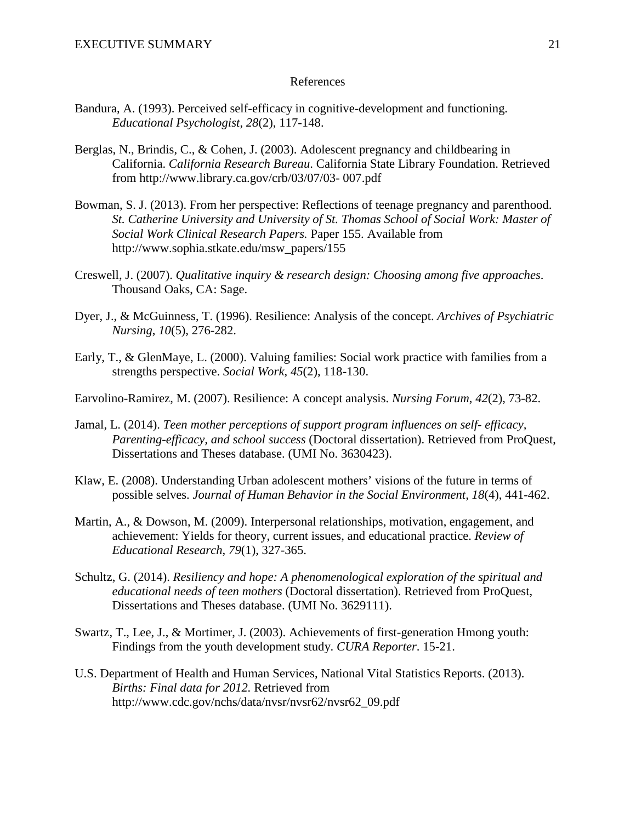### References

- Bandura, A. (1993). Perceived self-efficacy in cognitive-development and functioning. *Educational Psychologist*, *28*(2), 117-148.
- Berglas, N., Brindis, C., & Cohen, J. (2003). Adolescent pregnancy and childbearing in California. *California Research Bureau*. California State Library Foundation. Retrieved from http://www.library.ca.gov/crb/03/07/03- 007.pdf
- Bowman, S. J. (2013). From her perspective: Reflections of teenage pregnancy and parenthood. *St. Catherine University and University of St. Thomas School of Social Work: Master of Social Work Clinical Research Papers.* Paper 155. Available from http://www.sophia.stkate.edu/msw\_papers/155
- Creswell, J. (2007). *Qualitative inquiry & research design: Choosing among five approaches*. Thousand Oaks, CA: Sage.
- Dyer, J., & McGuinness, T. (1996). Resilience: Analysis of the concept. *Archives of Psychiatric Nursing*, *10*(5), 276-282.
- Early, T., & GlenMaye, L. (2000). Valuing families: Social work practice with families from a strengths perspective. *Social Work*, *45*(2), 118-130.
- Earvolino-Ramirez, M. (2007). Resilience: A concept analysis. *Nursing Forum*, *42*(2), 73-82.
- Jamal, L. (2014). *Teen mother perceptions of support program influences on self- efficacy, Parenting-efficacy, and school success* (Doctoral dissertation). Retrieved from ProQuest, Dissertations and Theses database. (UMI No. 3630423).
- Klaw, E. (2008). Understanding Urban adolescent mothers' visions of the future in terms of possible selves. *Journal of Human Behavior in the Social Environment, 18*(4), 441-462.
- Martin, A., & Dowson, M. (2009). Interpersonal relationships, motivation, engagement, and achievement: Yields for theory, current issues, and educational practice. *Review of Educational Research*, *79*(1), 327-365.
- Schultz, G. (2014). *Resiliency and hope: A phenomenological exploration of the spiritual and educational needs of teen mothers* (Doctoral dissertation). Retrieved from ProQuest, Dissertations and Theses database. (UMI No. 3629111).
- Swartz, T., Lee, J., & Mortimer, J. (2003). Achievements of first-generation Hmong youth: Findings from the youth development study. *CURA Reporter*. 15-21.
- U.S. Department of Health and Human Services, National Vital Statistics Reports. (2013). *Births: Final data for 2012.* Retrieved from http://www.cdc.gov/nchs/data/nvsr/nvsr62/nvsr62\_09.pdf